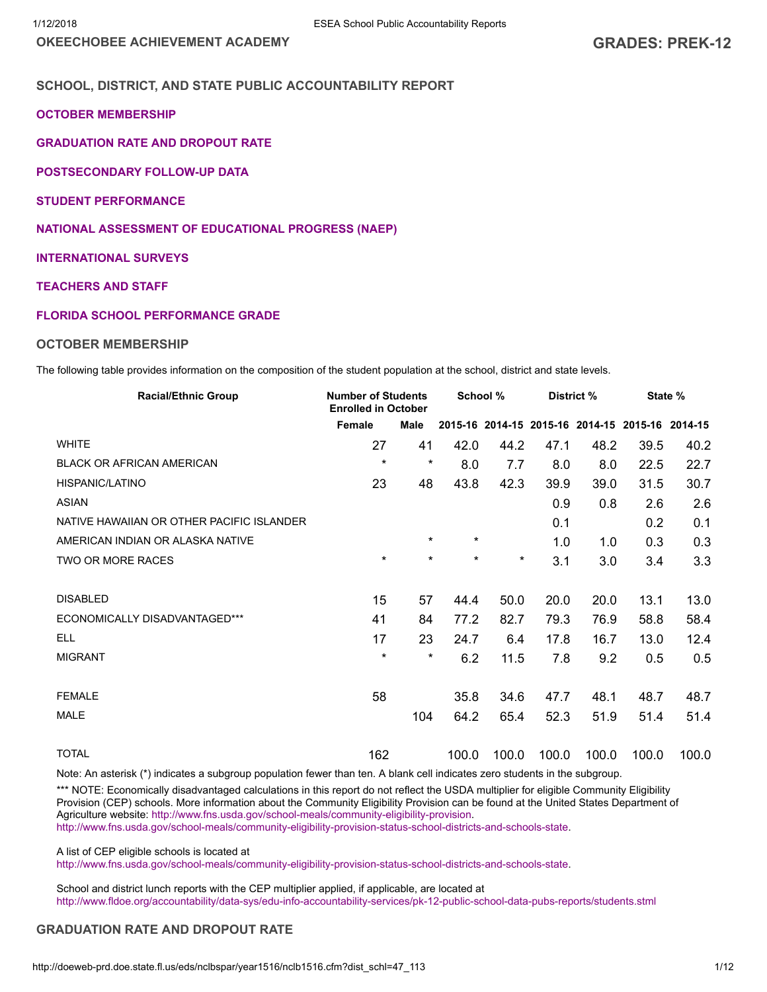OKEECHOBEE ACHIEVEMENT ACADEMY GRADES: PREK-12

# SCHOOL, DISTRICT, AND STATE PUBLIC ACCOUNTABILITY REPORT

#### OCTOBER [MEMBERSHIP](#page-0-0)

[GRADUATION](#page-0-1) RATE AND DROPOUT RATE

[POSTSECONDARY](#page-1-0) FOLLOW-UP DATA

STUDENT [PERFORMANCE](#page-3-0)

NATIONAL ASSESSMENT OF [EDUCATIONAL](#page-7-0) PROGRESS (NAEP)

#### [INTERNATIONAL](#page-9-0) SURVEYS

# [TEACHERS](#page-9-1) AND STAFF

#### FLORIDA SCHOOL [PERFORMANCE](#page-10-0) GRADE

#### <span id="page-0-0"></span>OCTOBER MEMBERSHIP

The following table provides information on the composition of the student population at the school, district and state levels.

| <b>Racial/Ethnic Group</b>                | <b>Number of Students</b><br><b>Enrolled in October</b> |             | School % |          |       | District % |                                                 | State % |
|-------------------------------------------|---------------------------------------------------------|-------------|----------|----------|-------|------------|-------------------------------------------------|---------|
|                                           | Female                                                  | <b>Male</b> |          |          |       |            | 2015-16 2014-15 2015-16 2014-15 2015-16 2014-15 |         |
| <b>WHITE</b>                              | 27                                                      | 41          | 42.0     | 44.2     | 47.1  | 48.2       | 39.5                                            | 40.2    |
| <b>BLACK OR AFRICAN AMERICAN</b>          | $\star$                                                 | $\star$     | 8.0      | 7.7      | 8.0   | 8.0        | 22.5                                            | 22.7    |
| <b>HISPANIC/LATINO</b>                    | 23                                                      | 48          | 43.8     | 42.3     | 39.9  | 39.0       | 31.5                                            | 30.7    |
| <b>ASIAN</b>                              |                                                         |             |          |          | 0.9   | 0.8        | 2.6                                             | 2.6     |
| NATIVE HAWAIIAN OR OTHER PACIFIC ISLANDER |                                                         |             |          |          | 0.1   |            | 0.2                                             | 0.1     |
| AMERICAN INDIAN OR ALASKA NATIVE          |                                                         | $\ast$      | $\star$  |          | 1.0   | 1.0        | 0.3                                             | 0.3     |
| TWO OR MORE RACES                         | $\star$                                                 | $\star$     | ¥        | $^\star$ | 3.1   | 3.0        | 3.4                                             | 3.3     |
|                                           |                                                         |             |          |          |       |            |                                                 |         |
| <b>DISABLED</b>                           | 15                                                      | 57          | 44.4     | 50.0     | 20.0  | 20.0       | 13.1                                            | 13.0    |
| ECONOMICALLY DISADVANTAGED***             | 41                                                      | 84          | 77.2     | 82.7     | 79.3  | 76.9       | 58.8                                            | 58.4    |
| <b>ELL</b>                                | 17                                                      | 23          | 24.7     | 6.4      | 17.8  | 16.7       | 13.0                                            | 12.4    |
| <b>MIGRANT</b>                            | $\star$                                                 | $\star$     | 6.2      | 11.5     | 7.8   | 9.2        | 0.5                                             | 0.5     |
|                                           |                                                         |             |          |          |       |            |                                                 |         |
| <b>FEMALE</b>                             | 58                                                      |             | 35.8     | 34.6     | 47.7  | 48.1       | 48.7                                            | 48.7    |
| <b>MALE</b>                               |                                                         | 104         | 64.2     | 65.4     | 52.3  | 51.9       | 51.4                                            | 51.4    |
|                                           |                                                         |             |          |          |       |            |                                                 |         |
| <b>TOTAL</b>                              | 162                                                     |             | 100.0    | 100.0    | 100.0 | 100.0      | 100.0                                           | 100.0   |

Note: An asterisk (\*) indicates a subgroup population fewer than ten. A blank cell indicates zero students in the subgroup.

\*\*\* NOTE: Economically disadvantaged calculations in this report do not reflect the USDA multiplier for eligible Community Eligibility Provision (CEP) schools. More information about the Community Eligibility Provision can be found at the United States Department of Agriculture website: [http://www.fns.usda.gov/school-meals/community-eligibility-provision.](http://www.fns.usda.gov/school-meals/community-eligibility-provision)

[http://www.fns.usda.gov/school-meals/community-eligibility-provision-status-school-districts-and-schools-state.](http://www.fns.usda.gov/school-meals/community-eligibility-provision-status-school-districts-and-schools-state)

A list of CEP eligible schools is located at

[http://www.fns.usda.gov/school-meals/community-eligibility-provision-status-school-districts-and-schools-state.](http://www.fns.usda.gov/school-meals/community-eligibility-provision-status-school-districts-and-schools-state)

School and district lunch reports with the CEP multiplier applied, if applicable, are located at <http://www.fldoe.org/accountability/data-sys/edu-info-accountability-services/pk-12-public-school-data-pubs-reports/students.stml>

# <span id="page-0-1"></span>GRADUATION RATE AND DROPOUT RATE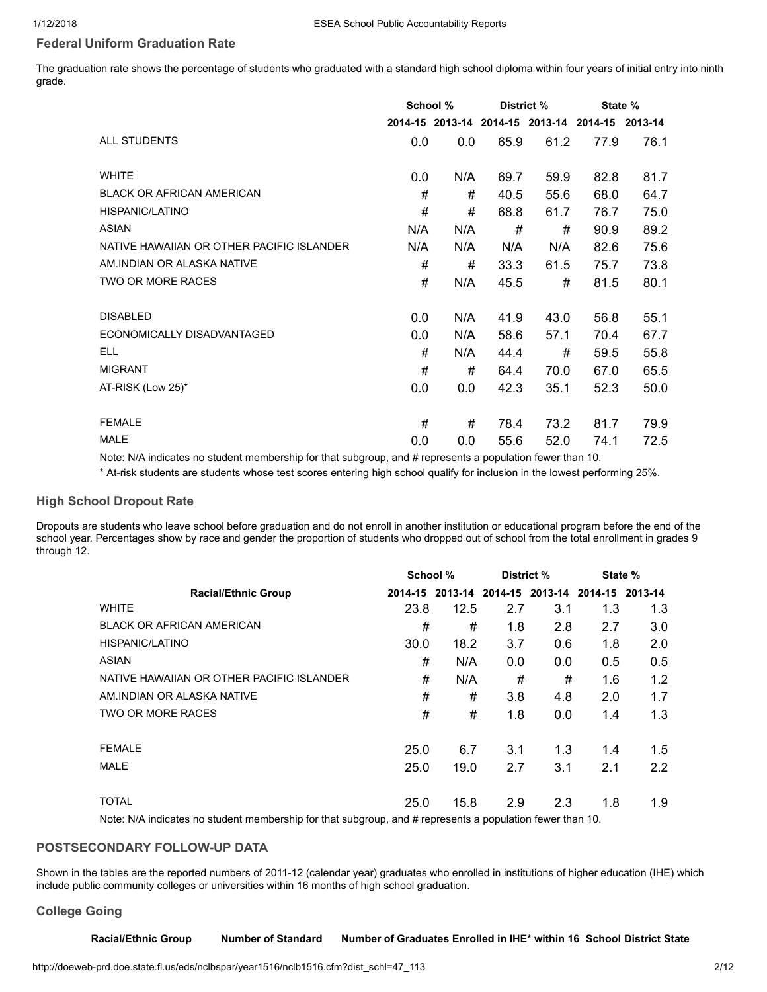# Federal Uniform Graduation Rate

The graduation rate shows the percentage of students who graduated with a standard high school diploma within four years of initial entry into ninth grade.

|                                           | School % |     | District % |      | State %                                         |      |  |
|-------------------------------------------|----------|-----|------------|------|-------------------------------------------------|------|--|
|                                           |          |     |            |      | 2014-15 2013-14 2014-15 2013-14 2014-15 2013-14 |      |  |
| ALL STUDENTS                              | 0.0      | 0.0 | 65.9       | 61.2 | 77.9                                            | 76.1 |  |
| <b>WHITE</b>                              | 0.0      | N/A | 69.7       | 59.9 | 82.8                                            | 81.7 |  |
| <b>BLACK OR AFRICAN AMERICAN</b>          | #        | #   | 40.5       | 55.6 | 68.0                                            | 64.7 |  |
| HISPANIC/LATINO                           | #        | #   | 68.8       | 61.7 | 76.7                                            | 75.0 |  |
| <b>ASIAN</b>                              | N/A      | N/A | #          | #    | 90.9                                            | 89.2 |  |
| NATIVE HAWAIIAN OR OTHER PACIFIC ISLANDER | N/A      | N/A | N/A        | N/A  | 82.6                                            | 75.6 |  |
| AM INDIAN OR ALASKA NATIVE                | #        | #   | 33.3       | 61.5 | 75.7                                            | 73.8 |  |
| <b>TWO OR MORE RACES</b>                  | #        | N/A | 45.5       | #    | 81.5                                            | 80.1 |  |
| <b>DISABLED</b>                           | 0.0      | N/A | 41.9       | 43.0 | 56.8                                            | 55.1 |  |
| ECONOMICALLY DISADVANTAGED                | 0.0      | N/A | 58.6       | 57.1 | 70.4                                            | 67.7 |  |
| <b>ELL</b>                                | #        | N/A | 44.4       | #    | 59.5                                            | 55.8 |  |
| <b>MIGRANT</b>                            | #        | #   | 64.4       | 70.0 | 67.0                                            | 65.5 |  |
| AT-RISK (Low 25)*                         | 0.0      | 0.0 | 42.3       | 35.1 | 52.3                                            | 50.0 |  |
| <b>FEMALE</b>                             | #        | #   | 78.4       | 73.2 | 81.7                                            | 79.9 |  |
| <b>MALE</b>                               | 0.0      | 0.0 | 55.6       | 52.0 | 74.1                                            | 72.5 |  |

Note: N/A indicates no student membership for that subgroup, and # represents a population fewer than 10.

\* At-risk students are students whose test scores entering high school qualify for inclusion in the lowest performing 25%.

#### High School Dropout Rate

Dropouts are students who leave school before graduation and do not enroll in another institution or educational program before the end of the school year. Percentages show by race and gender the proportion of students who dropped out of school from the total enrollment in grades 9 through 12.

|                                           | School % |      | District % |                                                 | State % |               |  |
|-------------------------------------------|----------|------|------------|-------------------------------------------------|---------|---------------|--|
| <b>Racial/Ethnic Group</b>                |          |      |            | 2014-15 2013-14 2014-15 2013-14 2014-15 2013-14 |         |               |  |
| <b>WHITE</b>                              | 23.8     | 12.5 | 2.7        | 3.1                                             | 1.3     | 1.3           |  |
| <b>BLACK OR AFRICAN AMERICAN</b>          | #        | #    | 1.8        | 2.8                                             | 2.7     | 3.0           |  |
| HISPANIC/LATINO                           | 30.0     | 18.2 | 3.7        | 0.6                                             | 1.8     | 2.0           |  |
| ASIAN                                     | #        | N/A  | 0.0        | 0.0                                             | 0.5     | 0.5           |  |
| NATIVE HAWAIIAN OR OTHER PACIFIC ISLANDER | #        | N/A  | #          | #                                               | 1.6     | 1.2           |  |
| AM INDIAN OR ALASKA NATIVE                | #        | #    | 3.8        | 4.8                                             | 2.0     | 1.7           |  |
| TWO OR MORE RACES                         | #        | #    | 1.8        | 0.0                                             | 1.4     | 1.3           |  |
| <b>FEMALE</b>                             | 25.0     | 6.7  | 3.1        | 1.3                                             | 1.4     | $1.5^{\circ}$ |  |
| <b>MALE</b>                               | 25.0     | 19.0 | 2.7        | 3.1                                             | 2.1     | 2.2           |  |
| <b>TOTAL</b>                              | 25.0     | 15.8 | 2.9        | 2.3                                             | 1.8     | 1.9           |  |

Note: N/A indicates no student membership for that subgroup, and # represents a population fewer than 10.

# <span id="page-1-0"></span>POSTSECONDARY FOLLOW-UP DATA

Shown in the tables are the reported numbers of 2011-12 (calendar year) graduates who enrolled in institutions of higher education (IHE) which include public community colleges or universities within 16 months of high school graduation.

# College Going

Racial/Ethnic Group Number of Standard Number of Graduates Enrolled in IHE\* within 16 School District State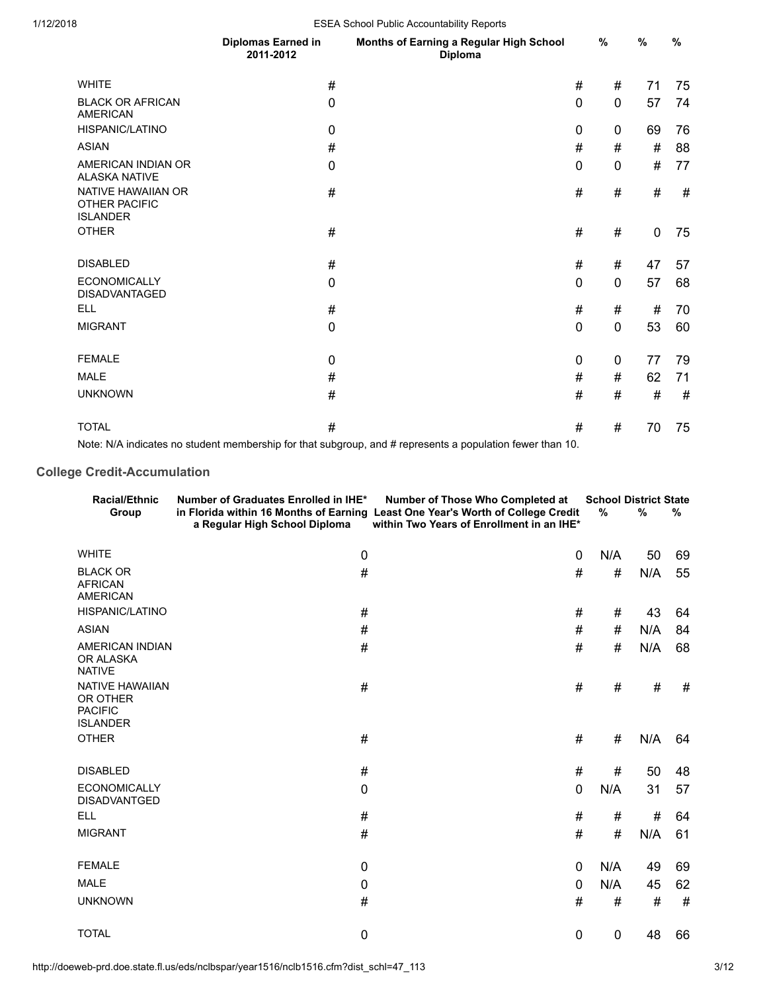| ∠ບ⊥ບ |                                                        |                                 | LOLA OCTION I GDIIC ACCOGNIGDIIIty TropONS         |             |             |             |      |  |  |
|------|--------------------------------------------------------|---------------------------------|----------------------------------------------------|-------------|-------------|-------------|------|--|--|
|      |                                                        | Diplomas Earned in<br>2011-2012 | Months of Earning a Regular High School<br>Diploma |             | %           | %           | %    |  |  |
|      | <b>WHITE</b>                                           | $\#$                            |                                                    | #           | #           | 71          | 75   |  |  |
|      | <b>BLACK OR AFRICAN</b><br><b>AMERICAN</b>             | $\boldsymbol{0}$                |                                                    | $\mathbf 0$ | $\mathbf 0$ | 57          | 74   |  |  |
|      | HISPANIC/LATINO                                        | $\mathbf 0$                     |                                                    | $\mathbf 0$ | $\mathbf 0$ | 69          | 76   |  |  |
|      | <b>ASIAN</b>                                           | $\#$                            |                                                    | $\#$        | $\#$        | $\#$        | 88   |  |  |
|      | AMERICAN INDIAN OR<br><b>ALASKA NATIVE</b>             | $\boldsymbol{0}$                |                                                    | $\mathbf 0$ | 0           | $\#$        | 77   |  |  |
|      | NATIVE HAWAIIAN OR<br>OTHER PACIFIC<br><b>ISLANDER</b> | $\#$                            |                                                    | $\#$        | #           | $\#$        | $\#$ |  |  |
|      | <b>OTHER</b>                                           | $\#$                            |                                                    | #           | #           | $\mathbf 0$ | 75   |  |  |
|      | <b>DISABLED</b>                                        | $\#$                            |                                                    | #           | #           | 47          | 57   |  |  |
|      | <b>ECONOMICALLY</b><br><b>DISADVANTAGED</b>            | $\mathbf 0$                     |                                                    | $\mathbf 0$ | $\mathbf 0$ | 57          | 68   |  |  |
|      | <b>ELL</b>                                             | $\#$                            |                                                    | $\#$        | $\#$        | $\#$        | 70   |  |  |
|      | <b>MIGRANT</b>                                         | $\mathbf 0$                     |                                                    | $\mathbf 0$ | $\mathbf 0$ | 53          | 60   |  |  |
|      | <b>FEMALE</b>                                          | $\mathbf 0$                     |                                                    | $\mathbf 0$ | $\mathbf 0$ | 77          | 79   |  |  |
|      | <b>MALE</b>                                            | $\#$                            |                                                    | $\#$        | #           | 62          | 71   |  |  |
|      | <b>UNKNOWN</b>                                         | $\#$                            |                                                    | $\#$        | $\#$        | $\#$        | $\#$ |  |  |
|      | <b>TOTAL</b>                                           | $\#$                            |                                                    | $\#$        | #           | 70          | 75   |  |  |

Note: N/A indicates no student membership for that subgroup, and # represents a population fewer than 10.

# College Credit-Accumulation

| <b>Racial/Ethnic</b><br>Group                                           | Number of Graduates Enrolled in IHE*<br>a Regular High School Diploma | Number of Those Who Completed at<br>in Florida within 16 Months of Earning Least One Year's Worth of College Credit<br>within Two Years of Enrollment in an IHE* | $\%$ | <b>School District State</b><br>% | $\%$ |
|-------------------------------------------------------------------------|-----------------------------------------------------------------------|------------------------------------------------------------------------------------------------------------------------------------------------------------------|------|-----------------------------------|------|
| <b>WHITE</b>                                                            | 0                                                                     | 0                                                                                                                                                                | N/A  | 50                                | 69   |
| <b>BLACK OR</b><br><b>AFRICAN</b><br><b>AMERICAN</b>                    | #                                                                     | #                                                                                                                                                                | $\#$ | N/A                               | 55   |
| <b>HISPANIC/LATINO</b>                                                  | $\#$                                                                  | #                                                                                                                                                                | #    | 43                                | 64   |
| <b>ASIAN</b>                                                            | #                                                                     | #                                                                                                                                                                | #    | N/A                               | 84   |
| <b>AMERICAN INDIAN</b><br>OR ALASKA<br><b>NATIVE</b>                    | $\#$                                                                  | #                                                                                                                                                                | #    | N/A                               | 68   |
| <b>NATIVE HAWAIIAN</b><br>OR OTHER<br><b>PACIFIC</b><br><b>ISLANDER</b> | #                                                                     | #                                                                                                                                                                | #    | #                                 | #    |
| <b>OTHER</b>                                                            | $\#$                                                                  | #                                                                                                                                                                | #    | N/A                               | 64   |
| <b>DISABLED</b>                                                         | #                                                                     | #                                                                                                                                                                | #    | 50                                | 48   |
| <b>ECONOMICALLY</b><br><b>DISADVANTGED</b>                              | $\pmb{0}$                                                             | $\mathbf{0}$                                                                                                                                                     | N/A  | 31                                | 57   |
| <b>ELL</b>                                                              | $\#$                                                                  | #                                                                                                                                                                | #    | $\#$                              | 64   |
| <b>MIGRANT</b>                                                          | #                                                                     | #                                                                                                                                                                | #    | N/A                               | 61   |
| <b>FEMALE</b>                                                           | 0                                                                     | 0                                                                                                                                                                | N/A  | 49                                | 69   |
| <b>MALE</b>                                                             | 0                                                                     | 0                                                                                                                                                                | N/A  | 45                                | 62   |
| <b>UNKNOWN</b>                                                          | #                                                                     | #                                                                                                                                                                | #    | #                                 | #    |
| <b>TOTAL</b>                                                            | 0                                                                     | 0                                                                                                                                                                | 0    | 48                                | 66   |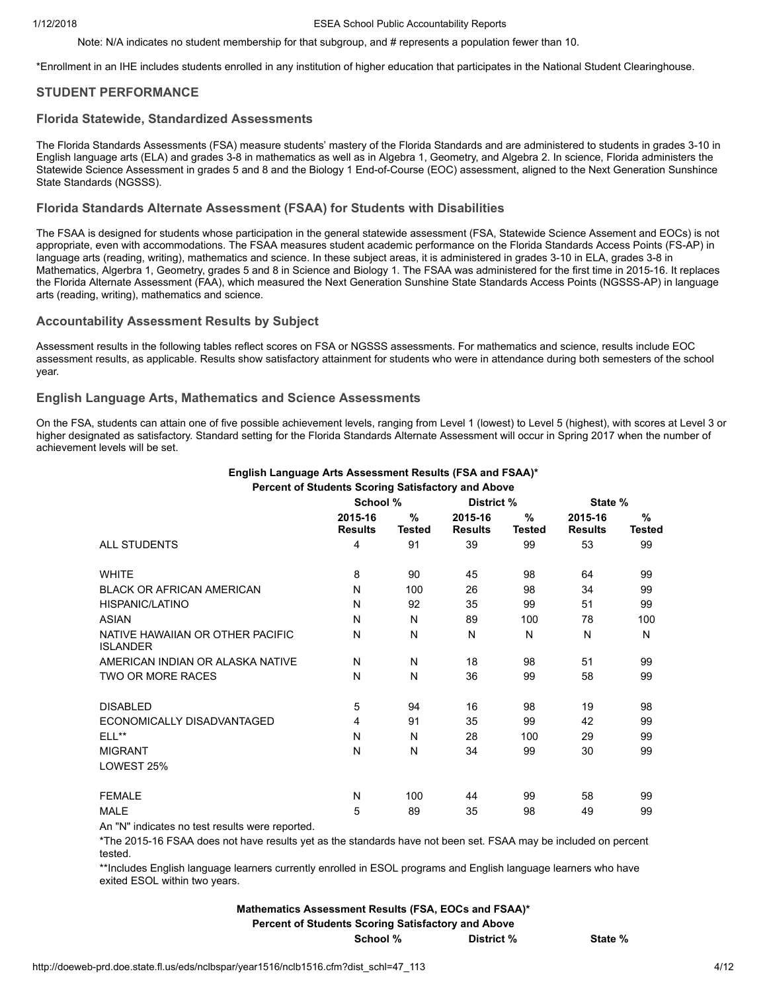Note: N/A indicates no student membership for that subgroup, and # represents a population fewer than 10.

\*Enrollment in an IHE includes students enrolled in any institution of higher education that participates in the National Student Clearinghouse.

# <span id="page-3-0"></span>STUDENT PERFORMANCE

#### Florida Statewide, Standardized Assessments

The Florida Standards Assessments (FSA) measure students' mastery of the Florida Standards and are administered to students in grades 3-10 in English language arts (ELA) and grades 3-8 in mathematics as well as in Algebra 1, Geometry, and Algebra 2. In science, Florida administers the Statewide Science Assessment in grades 5 and 8 and the Biology 1 End-of-Course (EOC) assessment, aligned to the Next Generation Sunshince State Standards (NGSSS).

#### Florida Standards Alternate Assessment (FSAA) for Students with Disabilities

The FSAA is designed for students whose participation in the general statewide assessment (FSA, Statewide Science Assement and EOCs) is not appropriate, even with accommodations. The FSAA measures student academic performance on the Florida Standards Access Points (FS-AP) in language arts (reading, writing), mathematics and science. In these subject areas, it is administered in grades 3-10 in ELA, grades 3-8 in Mathematics, Algerbra 1, Geometry, grades 5 and 8 in Science and Biology 1. The FSAA was administered for the first time in 2015-16. It replaces the Florida Alternate Assessment (FAA), which measured the Next Generation Sunshine State Standards Access Points (NGSSS-AP) in language arts (reading, writing), mathematics and science.

#### Accountability Assessment Results by Subject

Assessment results in the following tables reflect scores on FSA or NGSSS assessments. For mathematics and science, results include EOC assessment results, as applicable. Results show satisfactory attainment for students who were in attendance during both semesters of the school year.

#### English Language Arts, Mathematics and Science Assessments

On the FSA, students can attain one of five possible achievement levels, ranging from Level 1 (lowest) to Level 5 (highest), with scores at Level 3 or higher designated as satisfactory. Standard setting for the Florida Standards Alternate Assessment will occur in Spring 2017 when the number of achievement levels will be set.

|                                                     | School %                  |                                | District %                |                       | State %                   |                       |
|-----------------------------------------------------|---------------------------|--------------------------------|---------------------------|-----------------------|---------------------------|-----------------------|
|                                                     | 2015-16<br><b>Results</b> | $\frac{0}{0}$<br><b>Tested</b> | 2015-16<br><b>Results</b> | $\%$<br><b>Tested</b> | 2015-16<br><b>Results</b> | $\%$<br><b>Tested</b> |
| <b>ALL STUDENTS</b>                                 | 4                         | 91                             | 39                        | 99                    | 53                        | 99                    |
| <b>WHITE</b>                                        | 8                         | 90                             | 45                        | 98                    | 64                        | 99                    |
| <b>BLACK OR AFRICAN AMERICAN</b>                    | N                         | 100                            | 26                        | 98                    | 34                        | 99                    |
| HISPANIC/LATINO                                     | N                         | 92                             | 35                        | 99                    | 51                        | 99                    |
| <b>ASIAN</b>                                        | N                         | N                              | 89                        | 100                   | 78                        | 100                   |
| NATIVE HAWAIIAN OR OTHER PACIFIC<br><b>ISLANDER</b> | N                         | N                              | N                         | N                     | N                         | N                     |
| AMERICAN INDIAN OR ALASKA NATIVE                    | N                         | N                              | 18                        | 98                    | 51                        | 99                    |
| TWO OR MORE RACES                                   | N                         | N                              | 36                        | 99                    | 58                        | 99                    |
| <b>DISABLED</b>                                     | 5                         | 94                             | 16                        | 98                    | 19                        | 98                    |
| ECONOMICALLY DISADVANTAGED                          | 4                         | 91                             | 35                        | 99                    | 42                        | 99                    |
| $ELL**$                                             | N                         | N                              | 28                        | 100                   | 29                        | 99                    |
| <b>MIGRANT</b>                                      | N                         | N                              | 34                        | 99                    | 30                        | 99                    |
| LOWEST 25%                                          |                           |                                |                           |                       |                           |                       |
| <b>FEMALE</b>                                       | N                         | 100                            | 44                        | 99                    | 58                        | 99                    |
| <b>MALE</b>                                         | 5                         | 89                             | 35                        | 98                    | 49                        | 99                    |

#### English Language Arts Assessment Results (FSA and FSAA)\* Percent of Students Scoring Satisfactory and Above

An "N" indicates no test results were reported.

\*The 2015-16 FSAA does not have results yet as the standards have not been set. FSAA may be included on percent tested.

\*\*Includes English language learners currently enrolled in ESOL programs and English language learners who have exited ESOL within two years.

# Mathematics Assessment Results (FSA, EOCs and FSAA)\* Percent of Students Scoring Satisfactory and Above

School % District % State %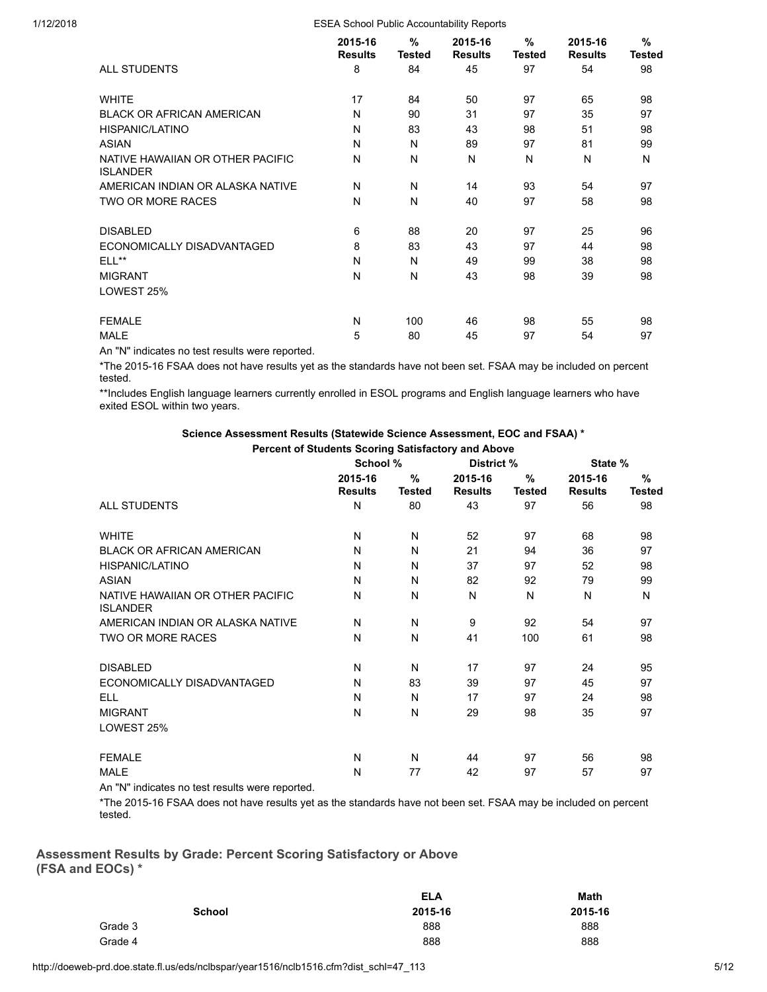|                                                     | %<br>2015-16<br><b>Results</b><br><b>Tested</b> |     | 2015-16<br><b>Results</b> | %<br><b>Tested</b> | $\frac{9}{6}$<br><b>Tested</b> |    |
|-----------------------------------------------------|-------------------------------------------------|-----|---------------------------|--------------------|--------------------------------|----|
| <b>ALL STUDENTS</b>                                 | 8                                               | 84  | 45                        | 97                 | 54                             | 98 |
| <b>WHITE</b>                                        | 17                                              | 84  | 50                        | 97                 | 65                             | 98 |
| <b>BLACK OR AFRICAN AMERICAN</b>                    | N                                               | 90  | 31                        | 97                 | 35                             | 97 |
| HISPANIC/LATINO                                     | N                                               | 83  | 43                        | 98                 | 51                             | 98 |
| <b>ASIAN</b>                                        | N                                               | N   | 89                        | 97                 | 81                             | 99 |
| NATIVE HAWAIIAN OR OTHER PACIFIC<br><b>ISLANDER</b> | N                                               | N   | N                         | N                  | N                              | N  |
| AMERICAN INDIAN OR ALASKA NATIVE                    | N                                               | N   | 14                        | 93                 | 54                             | 97 |
| TWO OR MORE RACES                                   | N                                               | N   | 40                        | 97                 | 58                             | 98 |
| <b>DISABLED</b>                                     | 6                                               | 88  | 20                        | 97                 | 25                             | 96 |
| ECONOMICALLY DISADVANTAGED                          | 8                                               | 83  | 43                        | 97                 | 44                             | 98 |
| $ELL***$                                            | N                                               | N   | 49                        | 99                 | 38                             | 98 |
| <b>MIGRANT</b>                                      | N                                               | N   | 43                        | 98                 | 39                             | 98 |
| LOWEST 25%                                          |                                                 |     |                           |                    |                                |    |
| <b>FEMALE</b>                                       | N                                               | 100 | 46                        | 98                 | 55                             | 98 |
| <b>MALE</b>                                         | 5                                               | 80  | 45                        | 97                 | 54                             | 97 |

An "N" indicates no test results were reported.

\*The 2015-16 FSAA does not have results yet as the standards have not been set. FSAA may be included on percent tested.

\*\*Includes English language learners currently enrolled in ESOL programs and English language learners who have exited ESOL within two years.

> Science Assessment Results (Statewide Science Assessment, EOC and FSAA) \* Percent of Students Scoring Satisfactory and Above

|                                                     | School %                  |                                | District %                |                       | State %                   |                       |  |
|-----------------------------------------------------|---------------------------|--------------------------------|---------------------------|-----------------------|---------------------------|-----------------------|--|
|                                                     | 2015-16<br><b>Results</b> | $\frac{9}{6}$<br><b>Tested</b> | 2015-16<br><b>Results</b> | $\%$<br><b>Tested</b> | 2015-16<br><b>Results</b> | $\%$<br><b>Tested</b> |  |
| <b>ALL STUDENTS</b>                                 | N                         | 80                             | 43                        | 97                    | 56                        | 98                    |  |
| <b>WHITE</b>                                        | N                         | N                              | 52                        | 97                    | 68                        | 98                    |  |
| <b>BLACK OR AFRICAN AMERICAN</b>                    | N                         | N                              | 21                        | 94                    | 36                        | 97                    |  |
| HISPANIC/LATINO                                     | N                         | N                              | 37                        | 97                    | 52                        | 98                    |  |
| <b>ASIAN</b>                                        | N                         | N                              | 82                        | 92                    | 79                        | 99                    |  |
| NATIVE HAWAIIAN OR OTHER PACIFIC<br><b>ISLANDER</b> | N                         | N                              | N                         | N                     | N                         | N                     |  |
| AMERICAN INDIAN OR ALASKA NATIVE                    | N                         | N                              | 9                         | 92                    | 54                        | 97                    |  |
| <b>TWO OR MORE RACES</b>                            | N                         | N                              | 41                        | 100                   | 61                        | 98                    |  |
| <b>DISABLED</b>                                     | N                         | N                              | 17                        | 97                    | 24                        | 95                    |  |
| ECONOMICALLY DISADVANTAGED                          | N                         | 83                             | 39                        | 97                    | 45                        | 97                    |  |
| <b>ELL</b>                                          | N                         | N                              | 17                        | 97                    | 24                        | 98                    |  |
| <b>MIGRANT</b>                                      | N                         | N                              | 29                        | 98                    | 35                        | 97                    |  |
| LOWEST 25%                                          |                           |                                |                           |                       |                           |                       |  |
| <b>FEMALE</b>                                       | N                         | N                              | 44                        | 97                    | 56                        | 98                    |  |
| <b>MALE</b>                                         | N                         | 77                             | 42                        | 97                    | 57                        | 97                    |  |

An "N" indicates no test results were reported.

\*The 2015-16 FSAA does not have results yet as the standards have not been set. FSAA may be included on percent tested.

Assessment Results by Grade: Percent Scoring Satisfactory or Above (FSA and EOCs) \*

|               | <b>ELA</b> | <b>Math</b> |  |  |  |  |
|---------------|------------|-------------|--|--|--|--|
| <b>School</b> | 2015-16    | 2015-16     |  |  |  |  |
| Grade 3       | 888        | 888         |  |  |  |  |
| Grade 4       | 888        | 888         |  |  |  |  |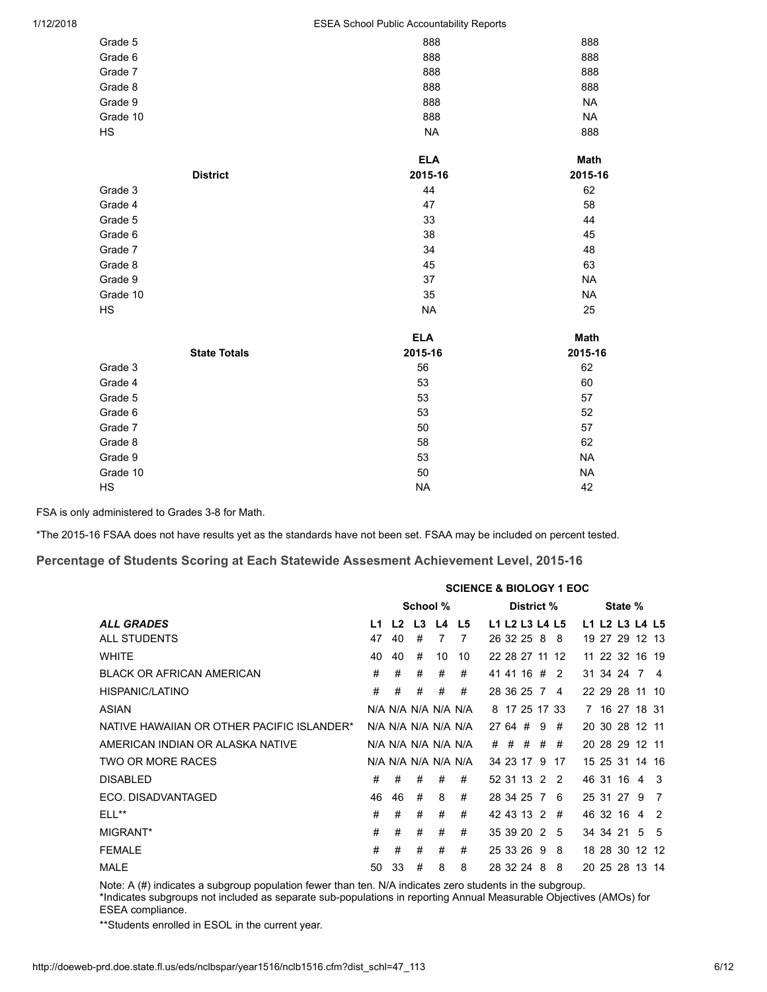| 1/12/2018 |
|-----------|
|-----------|

| Grade 5  |                     | 888        | 888         |
|----------|---------------------|------------|-------------|
| Grade 6  |                     | 888        | 888         |
| Grade 7  |                     | 888        | 888         |
| Grade 8  |                     | 888        | 888         |
| Grade 9  |                     | 888        | <b>NA</b>   |
| Grade 10 |                     | 888        | <b>NA</b>   |
| HS       |                     | <b>NA</b>  | 888         |
|          |                     | <b>ELA</b> | <b>Math</b> |
|          | <b>District</b>     | 2015-16    | 2015-16     |
| Grade 3  |                     | 44         | 62          |
| Grade 4  |                     | 47         | 58          |
| Grade 5  |                     | 33         | 44          |
| Grade 6  |                     | 38         | 45          |
| Grade 7  |                     | 34         | 48          |
| Grade 8  |                     | 45         | 63          |
| Grade 9  |                     | 37         | <b>NA</b>   |
| Grade 10 |                     | 35         | <b>NA</b>   |
| HS       |                     | <b>NA</b>  | 25          |
|          |                     | <b>ELA</b> | Math        |
|          | <b>State Totals</b> | 2015-16    | 2015-16     |
| Grade 3  |                     | 56         | 62          |
| Grade 4  |                     | 53         | 60          |
| Grade 5  |                     | 53         | 57          |
| Grade 6  |                     | 53         | 52          |
| Grade 7  |                     | 50         | 57          |
| Grade 8  |                     | 58         | 62          |
| Grade 9  |                     | 53         | <b>NA</b>   |
| Grade 10 |                     | 50         | <b>NA</b>   |
| HS       |                     | <b>NA</b>  | 42          |

FSA is only administered to Grades 3-8 for Math.

\*The 2015-16 FSAA does not have results yet as the standards have not been set. FSAA may be included on percent tested.

#### Percentage of Students Scoring at Each Statewide Assesment Achievement Level, 2015-16

|                                            | <b>SCIENCE &amp; BIOLOGY 1 EOC</b> |    |             |    |                     |  |  |              |   |                |                |         |  |                |
|--------------------------------------------|------------------------------------|----|-------------|----|---------------------|--|--|--------------|---|----------------|----------------|---------|--|----------------|
|                                            |                                    |    | School %    |    |                     |  |  | District %   |   |                |                | State % |  |                |
| <b>ALL GRADES</b>                          | L1                                 |    | L2 L3 L4 L5 |    |                     |  |  |              |   | L1 L2 L3 L4 L5 | L1 L2 L3 L4 L5 |         |  |                |
| ALL STUDENTS                               | 47                                 | 40 | #           | 7  | 7                   |  |  | 26 32 25 8 8 |   |                | 19 27 29 12 13 |         |  |                |
| <b>WHITE</b>                               | 40                                 | 40 | #           | 10 | 10                  |  |  |              |   | 22 28 27 11 12 | 11 22 32 16 19 |         |  |                |
| <b>BLACK OR AFRICAN AMERICAN</b>           | #                                  | #  | #           | #  | #                   |  |  | 41 41 16 # 2 |   |                | 31 34 24 7 4   |         |  |                |
| HISPANIC/LATINO                            | #                                  | #  | #           | #  | #                   |  |  | 28 36 25 7 4 |   |                | 22 29 28 11 10 |         |  |                |
| ASIAN                                      |                                    |    |             |    | N/A N/A N/A N/A N/A |  |  |              |   | 8 17 25 17 33  | 7 16 27 18 31  |         |  |                |
| NATIVE HAWAIIAN OR OTHER PACIFIC ISLANDER* |                                    |    |             |    | N/A N/A N/A N/A N/A |  |  | 27 64 #      | 9 | #              | 20 30 28 12 11 |         |  |                |
| AMERICAN INDIAN OR ALASKA NATIVE           |                                    |    |             |    | N/A N/A N/A N/A N/A |  |  | # # # #      |   | #              | 20 28 29 12 11 |         |  |                |
| TWO OR MORE RACES                          |                                    |    |             |    | N/A N/A N/A N/A N/A |  |  |              |   | 34 23 17 9 17  | 15 25 31 14 16 |         |  |                |
| <b>DISABLED</b>                            | #                                  | #  | #           | #  | #                   |  |  | 52 31 13 2 2 |   |                | 46 31 16 4 3   |         |  |                |
| ECO. DISADVANTAGED                         | 46                                 | 46 | #           | 8  | #                   |  |  | 28 34 25 7 6 |   |                | 25 31 27 9     |         |  | $\overline{7}$ |
| ELL**                                      | #                                  | #  | #           | #  | #                   |  |  | 42 43 13 2 # |   |                | 46 32 16 4 2   |         |  |                |
| MIGRANT*                                   | #                                  | #  | #           | #  | #                   |  |  | 35 39 20 2 5 |   |                | 34 34 21 5 5   |         |  |                |
| <b>FEMALE</b>                              | #                                  | #  | #           | #  | #                   |  |  | 25 33 26 9   |   | -8             | 18 28 30 12 12 |         |  |                |
| <b>MALE</b>                                | 50                                 | 33 | #           | 8  | 8                   |  |  | 28 32 24 8   |   | 8              | 20 25 28 13 14 |         |  |                |

Note: A (#) indicates a subgroup population fewer than ten. N/A indicates zero students in the subgroup. \*Indicates subgroups not included as separate sub-populations in reporting Annual Measurable Objectives (AMOs) for ESEA compliance.

\*\*Students enrolled in ESOL in the current year.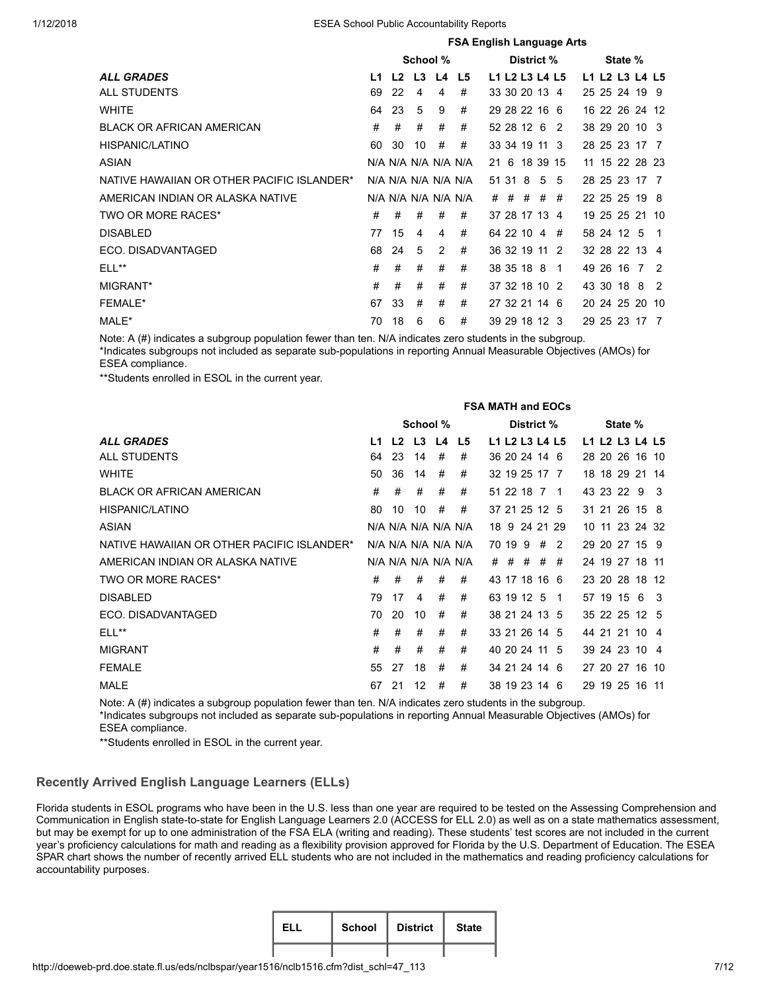|                                            | <b>FSA English Language Arts</b> |                |          |    |                     |    |       |         |                |   |  |            |                |                |
|--------------------------------------------|----------------------------------|----------------|----------|----|---------------------|----|-------|---------|----------------|---|--|------------|----------------|----------------|
|                                            |                                  |                | School % |    |                     |    |       |         | District %     |   |  | State %    |                |                |
| <b>ALL GRADES</b>                          | L1                               | L <sub>2</sub> | L3       | L4 | L5                  |    |       |         | L1 L2 L3 L4 L5 |   |  |            | L1 L2 L3 L4 L5 |                |
| <b>ALL STUDENTS</b>                        | 69                               | 22             | 4        | 4  | #                   |    |       |         | 33 30 20 13 4  |   |  |            | 25 25 24 19 9  |                |
| <b>WHITE</b>                               | 64                               | 23             | 5        | 9  | #                   |    |       |         | 29 28 22 16 6  |   |  |            | 16 22 26 24 12 |                |
| <b>BLACK OR AFRICAN AMERICAN</b>           | #                                | #              | #        | #  | #                   |    |       |         | 52 28 12 6 2   |   |  |            | 38 29 20 10 3  |                |
| HISPANIC/LATINO                            | 60                               | 30             | 10       | #  | #                   |    |       |         | 33 34 19 11 3  |   |  |            | 28 25 23 17 7  |                |
| <b>ASIAN</b>                               |                                  |                |          |    | N/A N/A N/A N/A N/A | 21 |       |         | 6 18 39 15     |   |  |            | 11 15 22 28 23 |                |
| NATIVE HAWAIIAN OR OTHER PACIFIC ISLANDER* |                                  |                |          |    | N/A N/A N/A N/A N/A |    |       | 51 31 8 | 5              | 5 |  |            | 28 25 23 17 7  |                |
| AMERICAN INDIAN OR ALASKA NATIVE           |                                  |                |          |    | N/A N/A N/A N/A N/A |    | $#$ # | #       | #              | # |  |            | 22 25 25 19 8  |                |
| TWO OR MORE RACES*                         | #                                | #              | #        | #  | #                   |    |       |         | 37 28 17 13 4  |   |  |            | 19 25 25 21 10 |                |
| <b>DISABLED</b>                            | 77                               | 15             | 4        | 4  | #                   |    |       |         | 64 22 10 4     | # |  | 58 24 12 5 |                | - 1            |
| ECO. DISADVANTAGED                         | 68                               | 24             | 5        | 2  | #                   |    |       |         | 36 32 19 11 2  |   |  |            | 32 28 22 13 4  |                |
| ELL**                                      | #                                | #              | #        | #  | #                   |    |       |         | 38 35 18 8 1   |   |  |            | 49 26 16 7 2   |                |
| MIGRANT*                                   | #                                | #              | #        | #  | #                   |    |       |         | 37 32 18 10 2  |   |  | 43 30 18 8 |                | $\overline{2}$ |
| <b>FEMALE*</b>                             | 67                               | 33             | #        | #  | #                   |    |       |         | 27 32 21 14 6  |   |  |            | 20 24 25 20 10 |                |
| MALE*                                      | 70                               | 18             | 6        | 6  | #                   |    |       |         | 39 29 18 12 3  |   |  |            | 29 25 23 17 7  |                |

Note: A (#) indicates a subgroup population fewer than ten. N/A indicates zero students in the subgroup. \*Indicates subgroups not included as separate sub-populations in reporting Annual Measurable Objectives (AMOs) for ESEA compliance.

\*\*Students enrolled in ESOL in the current year.

|                                            |     |    |                |   |                     | <b>FSA MATH and EOCs</b> |         |       |                |   |  |            |                |     |
|--------------------------------------------|-----|----|----------------|---|---------------------|--------------------------|---------|-------|----------------|---|--|------------|----------------|-----|
|                                            |     |    | School %       |   |                     |                          |         |       | District %     |   |  | State %    |                |     |
| <b>ALL GRADES</b>                          | I 1 |    | $L2$ $L3$ $L4$ |   | L <sub>5</sub>      |                          |         |       | L1 L2 L3 L4 L5 |   |  |            | L1 L2 L3 L4 L5 |     |
| ALL STUDENTS                               | 64  | 23 | -14            | # | #                   |                          |         |       | 36 20 24 14 6  |   |  |            | 28 20 26 16 10 |     |
| <b>WHITE</b>                               | 50  | 36 | 14             | # | #                   |                          |         |       | 32 19 25 17 7  |   |  |            | 18 18 29 21 14 |     |
| <b>BLACK OR AFRICAN AMERICAN</b>           | #   | #  | #              | # | #                   |                          |         |       | 51 22 18 7 1   |   |  | 43 23 22 9 |                | - 3 |
| HISPANIC/LATINO                            | 80  | 10 | 10             | # | #                   |                          |         |       | 37 21 25 12 5  |   |  |            | 31 21 26 15 8  |     |
| <b>ASIAN</b>                               |     |    |                |   | N/A N/A N/A N/A N/A |                          |         |       | 18 9 24 21 29  |   |  |            | 10 11 23 24 32 |     |
| NATIVE HAWAIIAN OR OTHER PACIFIC ISLANDER* |     |    |                |   | N/A N/A N/A N/A N/A |                          | 70 19 9 |       | #              | 2 |  |            | 29 20 27 15 9  |     |
| AMERICAN INDIAN OR ALASKA NATIVE           |     |    |                |   | N/A N/A N/A N/A N/A |                          |         | # # # | #              | # |  |            | 24 19 27 18 11 |     |
| TWO OR MORE RACES*                         | #   | #  | #              | # | #                   |                          |         |       | 43 17 18 16 6  |   |  |            | 23 20 28 18 12 |     |
| <b>DISABLED</b>                            | 79  | 17 | 4              | # | #                   |                          |         |       | 63 19 12 5 1   |   |  |            | 57 19 15 6 3   |     |
| ECO. DISADVANTAGED                         | 70  | 20 | 10             | # | #                   |                          |         |       | 38 21 24 13 5  |   |  |            | 35 22 25 12 5  |     |
| $ELL**$                                    | #   | #  | #              | # | #                   |                          |         |       | 33 21 26 14 5  |   |  |            | 44 21 21 10 4  |     |
| <b>MIGRANT</b>                             | #   | #  | #              | # | #                   |                          |         |       | 40 20 24 11 5  |   |  |            | 39 24 23 10 4  |     |
| <b>FEMALE</b>                              | 55  | 27 | 18             | # | #                   |                          |         |       | 34 21 24 14 6  |   |  |            | 27 20 27 16 10 |     |
| <b>MALE</b>                                | 67  | 21 | 12             | # | #                   |                          |         |       | 38 19 23 14 6  |   |  |            | 29 19 25 16 11 |     |

Note: A (#) indicates a subgroup population fewer than ten. N/A indicates zero students in the subgroup. \*Indicates subgroups not included as separate sub-populations in reporting Annual Measurable Objectives (AMOs) for ESEA compliance.

\*\*Students enrolled in ESOL in the current year.

# Recently Arrived English Language Learners (ELLs)

Florida students in ESOL programs who have been in the U.S. less than one year are required to be tested on the Assessing Comprehension and Communication in English state-to-state for English Language Learners 2.0 (ACCESS for ELL 2.0) as well as on a state mathematics assessment, but may be exempt for up to one administration of the FSA ELA (writing and reading). These students' test scores are not included in the current year's proficiency calculations for math and reading as a flexibility provision approved for Florida by the U.S. Department of Education. The ESEA SPAR chart shows the number of recently arrived ELL students who are not included in the mathematics and reading proficiency calculations for accountability purposes.

| FL L | <b>School</b> | <b>District</b> | <b>State</b> |
|------|---------------|-----------------|--------------|
|      |               |                 |              |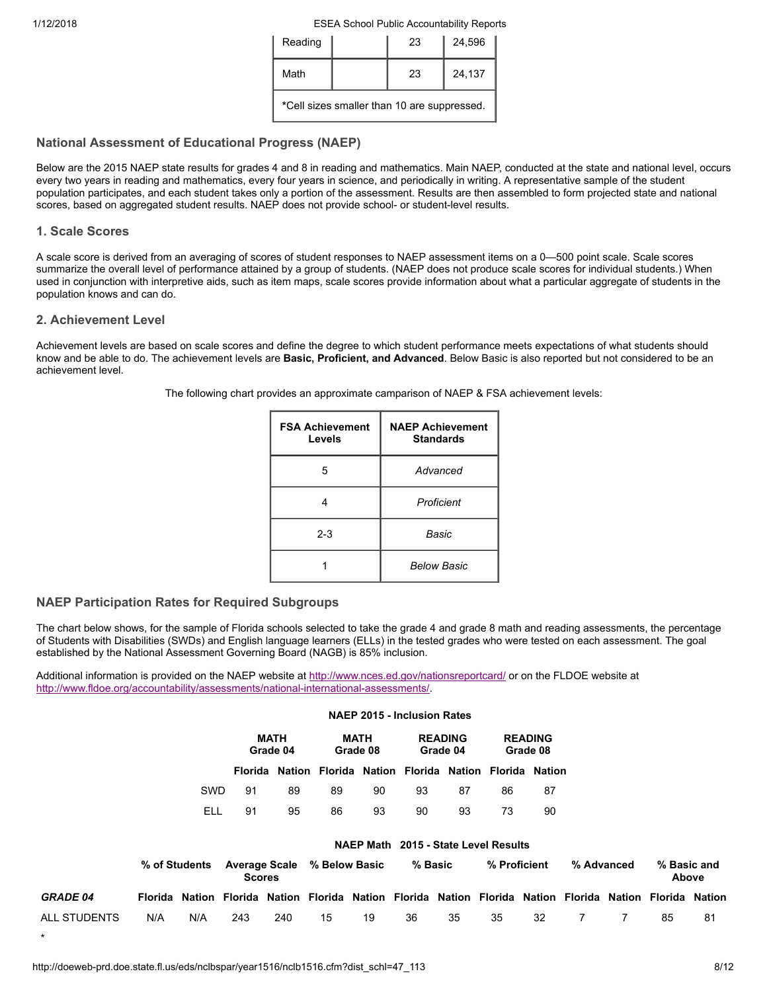| Reading | 23                                          | 24,596 |
|---------|---------------------------------------------|--------|
| Math    | 23                                          | 24,137 |
|         | *Cell sizes smaller than 10 are suppressed. |        |

# <span id="page-7-0"></span>National Assessment of Educational Progress (NAEP)

Below are the 2015 NAEP state results for grades 4 and 8 in reading and mathematics. Main NAEP, conducted at the state and national level, occurs every two years in reading and mathematics, every four years in science, and periodically in writing. A representative sample of the student population participates, and each student takes only a portion of the assessment. Results are then assembled to form projected state and national scores, based on aggregated student results. NAEP does not provide school- or student-level results.

# 1. Scale Scores

A scale score is derived from an averaging of scores of student responses to NAEP assessment items on a 0—500 point scale. Scale scores summarize the overall level of performance attained by a group of students. (NAEP does not produce scale scores for individual students.) When used in conjunction with interpretive aids, such as item maps, scale scores provide information about what a particular aggregate of students in the population knows and can do.

# 2. Achievement Level

Achievement levels are based on scale scores and define the degree to which student performance meets expectations of what students should know and be able to do. The achievement levels are **Basic, Proficient, and Advanced**. Below Basic is also reported but not considered to be an achievement level.

The following chart provides an approximate camparison of NAEP & FSA achievement levels:

| <b>FSA Achievement</b><br>Levels | <b>NAEP Achievement</b><br><b>Standards</b> |
|----------------------------------|---------------------------------------------|
| 5                                | Advanced                                    |
|                                  | Proficient                                  |
| $2 - 3$                          | Basic                                       |
|                                  | <b>Below Basic</b>                          |

# NAEP Participation Rates for Required Subgroups

The chart below shows, for the sample of Florida schools selected to take the grade 4 and grade 8 math and reading assessments, the percentage of Students with Disabilities (SWDs) and English language learners (ELLs) in the tested grades who were tested on each assessment. The goal established by the National Assessment Governing Board (NAGB) is 85% inclusion.

NAEP 2015 - Inclusion Rates

Additional information is provided on the NAEP website at <http://www.nces.ed.gov/nationsreportcard/>or on the FLDOE website at [http://www.fldoe.org/accountability/assessments/national-international-assessments/.](http://www.fldoe.org/asp/naep/)

|                   |               |     |                                       | MATH<br>Grade 04 |               | <b>MATH</b><br>Grade 08 |    | <b>READING</b><br>Grade 04 |                                                                                                          | <b>READING</b><br>Grade 08 |            |                      |    |
|-------------------|---------------|-----|---------------------------------------|------------------|---------------|-------------------------|----|----------------------------|----------------------------------------------------------------------------------------------------------|----------------------------|------------|----------------------|----|
|                   |               |     |                                       |                  |               |                         |    |                            | Florida Nation Florida Nation Florida Nation Florida Nation                                              |                            |            |                      |    |
|                   |               | SWD | 91                                    | 89               | 89            | 90                      | 93 | 87                         | 86                                                                                                       | 87                         |            |                      |    |
|                   |               | ELL | 91                                    | 95               | 86            | 93                      | 90 | 93                         | 73                                                                                                       | 90                         |            |                      |    |
|                   |               |     |                                       |                  |               | <b>NAEP Math</b>        |    |                            | 2015 - State Level Results                                                                               |                            |            |                      |    |
|                   | % of Students |     | <b>Average Scale</b><br><b>Scores</b> |                  | % Below Basic |                         |    | % Basic                    | % Proficient                                                                                             |                            | % Advanced | % Basic and<br>Above |    |
| <b>GRADE 04</b>   |               |     |                                       |                  |               |                         |    |                            | Florida Nation Florida Nation Florida Nation Florida Nation Florida Nation Florida Nation Florida Nation |                            |            |                      |    |
| ALL STUDENTS<br>÷ | N/A           | N/A | 243                                   | 240              | 15            | 19                      | 36 | 35                         | 35                                                                                                       | 32                         | 7          | 85                   | 81 |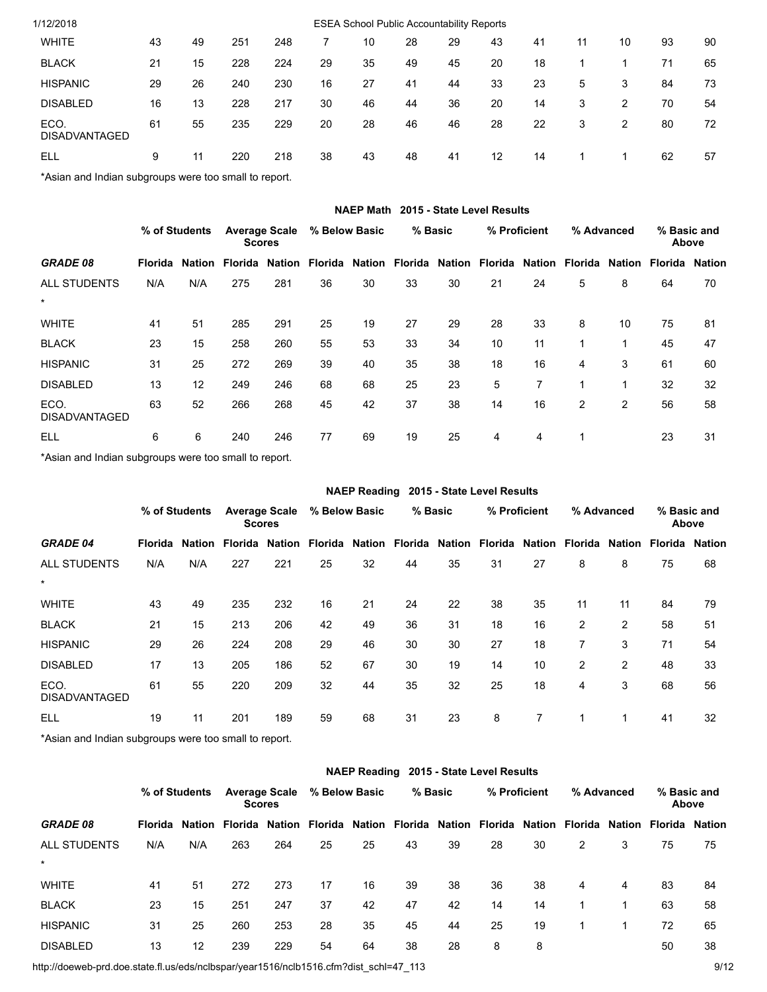| 1/12/2018                                            |    |    |     |     |    | <b>ESEA School Public Accountability Reports</b> |    |    |    |    |    |    |    |    |
|------------------------------------------------------|----|----|-----|-----|----|--------------------------------------------------|----|----|----|----|----|----|----|----|
| <b>WHITE</b>                                         | 43 | 49 | 251 | 248 |    | 10                                               | 28 | 29 | 43 | 41 | 11 | 10 | 93 | 90 |
| <b>BLACK</b>                                         | 21 | 15 | 228 | 224 | 29 | 35                                               | 49 | 45 | 20 | 18 |    |    | 71 | 65 |
| <b>HISPANIC</b>                                      | 29 | 26 | 240 | 230 | 16 | 27                                               | 41 | 44 | 33 | 23 | 5  | 3  | 84 | 73 |
| <b>DISABLED</b>                                      | 16 | 13 | 228 | 217 | 30 | 46                                               | 44 | 36 | 20 | 14 | 3  | 2  | 70 | 54 |
| ECO.<br><b>DISADVANTAGED</b>                         | 61 | 55 | 235 | 229 | 20 | 28                                               | 46 | 46 | 28 | 22 | 3  | 2  | 80 | 72 |
| ELL                                                  | 9  | 11 | 220 | 218 | 38 | 43                                               | 48 | 41 | 12 | 14 |    |    | 62 | 57 |
| *Agian and Indian oubaroung ware too amall to report |    |    |     |     |    |                                                  |    |    |    |    |    |    |    |    |

\*Asian and Indian subgroups were too small to report.

|                              |         |               |                                       |        |         | <b>NAEP Math</b> |         |    | 2015 - State Level Results                          |    |   |                |                       |    |
|------------------------------|---------|---------------|---------------------------------------|--------|---------|------------------|---------|----|-----------------------------------------------------|----|---|----------------|-----------------------|----|
|                              |         | % of Students | <b>Average Scale</b><br><b>Scores</b> |        |         | % Below Basic    | % Basic |    | % Proficient                                        |    |   | % Advanced     | % Basic and<br>Above  |    |
| <b>GRADE 08</b>              | Florida |               | <b>Nation Florida</b>                 | Nation | Florida |                  |         |    | Nation Florida Nation Florida Nation Florida Nation |    |   |                | <b>Florida Nation</b> |    |
| <b>ALL STUDENTS</b>          | N/A     | N/A           | 275                                   | 281    | 36      | 30               | 33      | 30 | 21                                                  | 24 | 5 | 8              | 64                    | 70 |
| $\star$                      |         |               |                                       |        |         |                  |         |    |                                                     |    |   |                |                       |    |
| <b>WHITE</b>                 | 41      | 51            | 285                                   | 291    | 25      | 19               | 27      | 29 | 28                                                  | 33 | 8 | 10             | 75                    | 81 |
| <b>BLACK</b>                 | 23      | 15            | 258                                   | 260    | 55      | 53               | 33      | 34 | 10                                                  | 11 |   | 1              | 45                    | 47 |
| <b>HISPANIC</b>              | 31      | 25            | 272                                   | 269    | 39      | 40               | 35      | 38 | 18                                                  | 16 | 4 | 3              | 61                    | 60 |
| <b>DISABLED</b>              | 13      | 12            | 249                                   | 246    | 68      | 68               | 25      | 23 | 5                                                   | 7  |   | 1              | 32                    | 32 |
| ECO.<br><b>DISADVANTAGED</b> | 63      | 52            | 266                                   | 268    | 45      | 42               | 37      | 38 | 14                                                  | 16 | 2 | $\overline{2}$ | 56                    | 58 |
| ELL                          | 6       | 6             | 240                                   | 246    | 77      | 69               | 19      | 25 | 4                                                   | 4  |   |                | 23                    | 31 |

\*Asian and Indian subgroups were too small to report.

|                                | 2015 - State Level Results<br><b>NAEP Reading</b> |     |                                                                                   |                                       |               |    |         |    |    |              |                |                |                       |    |
|--------------------------------|---------------------------------------------------|-----|-----------------------------------------------------------------------------------|---------------------------------------|---------------|----|---------|----|----|--------------|----------------|----------------|-----------------------|----|
|                                | % of Students                                     |     |                                                                                   | <b>Average Scale</b><br><b>Scores</b> | % Below Basic |    | % Basic |    |    | % Proficient |                | % Advanced     | % Basic and<br>Above  |    |
| <b>GRADE 04</b>                | Florida                                           |     | Nation Florida Nation Florida Nation Florida Nation Florida Nation Florida Nation |                                       |               |    |         |    |    |              |                |                | <b>Florida Nation</b> |    |
| <b>ALL STUDENTS</b><br>$\star$ | N/A                                               | N/A | 227                                                                               | 221                                   | 25            | 32 | 44      | 35 | 31 | 27           | 8              | 8              | 75                    | 68 |
| <b>WHITE</b>                   | 43                                                | 49  | 235                                                                               | 232                                   | 16            | 21 | 24      | 22 | 38 | 35           | 11             | 11             | 84                    | 79 |
| <b>BLACK</b>                   | 21                                                | 15  | 213                                                                               | 206                                   | 42            | 49 | 36      | 31 | 18 | 16           | $\overline{2}$ | $\overline{2}$ | 58                    | 51 |
| <b>HISPANIC</b>                | 29                                                | 26  | 224                                                                               | 208                                   | 29            | 46 | 30      | 30 | 27 | 18           | 7              | 3              | 71                    | 54 |
| <b>DISABLED</b>                | 17                                                | 13  | 205                                                                               | 186                                   | 52            | 67 | 30      | 19 | 14 | 10           | $\overline{2}$ | $\overline{2}$ | 48                    | 33 |
| ECO.<br><b>DISADVANTAGED</b>   | 61                                                | 55  | 220                                                                               | 209                                   | 32            | 44 | 35      | 32 | 25 | 18           | 4              | 3              | 68                    | 56 |
| <b>ELL</b>                     | 19                                                | 11  | 201                                                                               | 189                                   | 59            | 68 | 31      | 23 | 8  | 7            | 1              | 1              | 41                    | 32 |

\*Asian and Indian subgroups were too small to report.

|                     |                |        |               |                      |                |    |         |    | NAEP Reading 2015 - State Level Results |    |            |        |                       |    |
|---------------------|----------------|--------|---------------|----------------------|----------------|----|---------|----|-----------------------------------------|----|------------|--------|-----------------------|----|
|                     | % of Students  |        | <b>Scores</b> | <b>Average Scale</b> | % Below Basic  |    | % Basic |    | % Proficient                            |    | % Advanced |        | % Basic and<br>Above  |    |
| <b>GRADE 08</b>     | <b>Florida</b> | Nation | Florida       | Nation               | Florida Nation |    |         |    | Florida Nation Florida Nation Florida   |    |            | Nation | <b>Florida Nation</b> |    |
| <b>ALL STUDENTS</b> | N/A            | N/A    | 263           | 264                  | 25             | 25 | 43      | 39 | 28                                      | 30 | 2          | 3      | 75                    | 75 |
| $\star$             |                |        |               |                      |                |    |         |    |                                         |    |            |        |                       |    |
| <b>WHITE</b>        | 41             | 51     | 272           | 273                  | 17             | 16 | 39      | 38 | 36                                      | 38 | 4          | 4      | 83                    | 84 |
| <b>BLACK</b>        | 23             | 15     | 251           | 247                  | 37             | 42 | 47      | 42 | 14                                      | 14 |            | 1      | 63                    | 58 |
| <b>HISPANIC</b>     | 31             | 25     | 260           | 253                  | 28             | 35 | 45      | 44 | 25                                      | 19 |            |        | 72                    | 65 |
| <b>DISABLED</b>     | 13             | 12     | 239           | 229                  | 54             | 64 | 38      | 28 | 8                                       | 8  |            |        | 50                    | 38 |

http://doeweb-prd.doe.state.fl.us/eds/nclbspar/year1516/nclb1516.cfm?dist\_schl=47\_113 9/12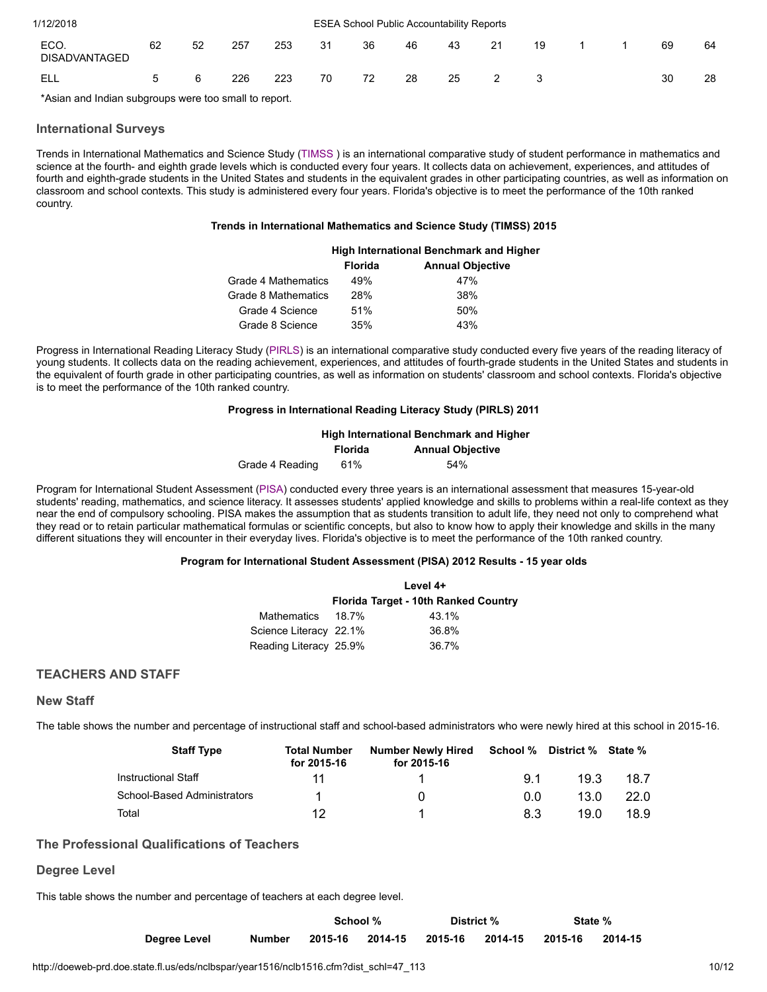| 1/12/2018                    |    |    |     |     |    | <b>ESEA School Public Accountability Reports</b> |    |    |    |    |  |    |    |
|------------------------------|----|----|-----|-----|----|--------------------------------------------------|----|----|----|----|--|----|----|
| ECO.<br><b>DISADVANTAGED</b> | 62 | 52 | 257 | 253 | 31 | 36                                               | 46 | 43 | 21 | 19 |  | 69 | 64 |
| ELL                          | 5  | 6  | 226 | 223 | 70 | 72                                               | 28 | 25 | 2  |    |  | 30 | 28 |
| .<br>.                       |    |    | .   |     |    |                                                  |    |    |    |    |  |    |    |

\*Asian and Indian subgroups were too small to report.

# <span id="page-9-0"></span>International Surveys

Trends in International Mathematics and Science Study [\(TIMSS \)](http://www.fldoe.org/asp/naep/timss.asp) is an international comparative study of student performance in mathematics and science at the fourth- and eighth grade levels which is conducted every four years. It collects data on achievement, experiences, and attitudes of fourth and eighth-grade students in the United States and students in the equivalent grades in other participating countries, as well as information on classroom and school contexts. This study is administered every four years. Florida's objective is to meet the performance of the 10th ranked country.

#### Trends in International Mathematics and Science Study (TIMSS) 2015

|                     |                | <b>High International Benchmark and Higher</b> |
|---------------------|----------------|------------------------------------------------|
|                     | <b>Florida</b> | <b>Annual Objective</b>                        |
| Grade 4 Mathematics | 49%            | 47%                                            |
| Grade 8 Mathematics | 28%            | 38%                                            |
| Grade 4 Science     | 51%            | 50%                                            |
| Grade 8 Science     | 35%            | 43%                                            |

Progress in International Reading Literacy Study ([PIRLS](http://www.fldoe.org/asp/naep/pirls.asp)) is an international comparative study conducted every five years of the reading literacy of young students. It collects data on the reading achievement, experiences, and attitudes of fourth-grade students in the United States and students in the equivalent of fourth grade in other participating countries, as well as information on students' classroom and school contexts. Florida's objective is to meet the performance of the 10th ranked country.

# Progress in International Reading Literacy Study (PIRLS) 2011

|                 | <b>High International Benchmark and Higher</b> |                         |  |  |
|-----------------|------------------------------------------------|-------------------------|--|--|
|                 | Florida                                        | <b>Annual Objective</b> |  |  |
| Grade 4 Reading | 61%                                            | 54%                     |  |  |

Program for International Student Assessment ([PISA](http://www.fldoe.org/asp/naep/pisa.asp)) conducted every three years is an international assessment that measures 15-year-old students' reading, mathematics, and science literacy. It assesses students' applied knowledge and skills to problems within a real-life context as they near the end of compulsory schooling. PISA makes the assumption that as students transition to adult life, they need not only to comprehend what they read or to retain particular mathematical formulas or scientific concepts, but also to know how to apply their knowledge and skills in the many different situations they will encounter in their everyday lives. Florida's objective is to meet the performance of the 10th ranked country.

#### Program for International Student Assessment (PISA) 2012 Results - 15 year olds

|                        | Level 4+ |                                      |  |  |  |
|------------------------|----------|--------------------------------------|--|--|--|
|                        |          | Florida Target - 10th Ranked Country |  |  |  |
| Mathematics            | 18.7%    | 43.1%                                |  |  |  |
| Science Literacy 22.1% |          | 36.8%                                |  |  |  |
| Reading Literacy 25.9% |          | 36.7%                                |  |  |  |

# <span id="page-9-1"></span>TEACHERS AND STAFF

#### New Staff

The table shows the number and percentage of instructional staff and school-based administrators who were newly hired at this school in 2015-16.

| <b>Staff Type</b>           | <b>Total Number</b><br>for 2015-16 | <b>Number Newly Hired</b><br>for 2015-16 | School % | District % State % |      |
|-----------------------------|------------------------------------|------------------------------------------|----------|--------------------|------|
| Instructional Staff         | 11                                 |                                          | 91       | 19.3               | 18.7 |
| School-Based Administrators |                                    |                                          | 00       | 13.0               | 22.0 |
| Total                       | 12                                 |                                          | 8.3      | 19.0               | 18.9 |

# The Professional Qualifications of Teachers

# Degree Level

This table shows the number and percentage of teachers at each degree level.

|              |        |         | School % |                  | District % |         | State % |
|--------------|--------|---------|----------|------------------|------------|---------|---------|
| Degree Level | Number | 2015-16 | 2014-15  | 2015-16  2014-15 |            | 2015-16 | 2014-15 |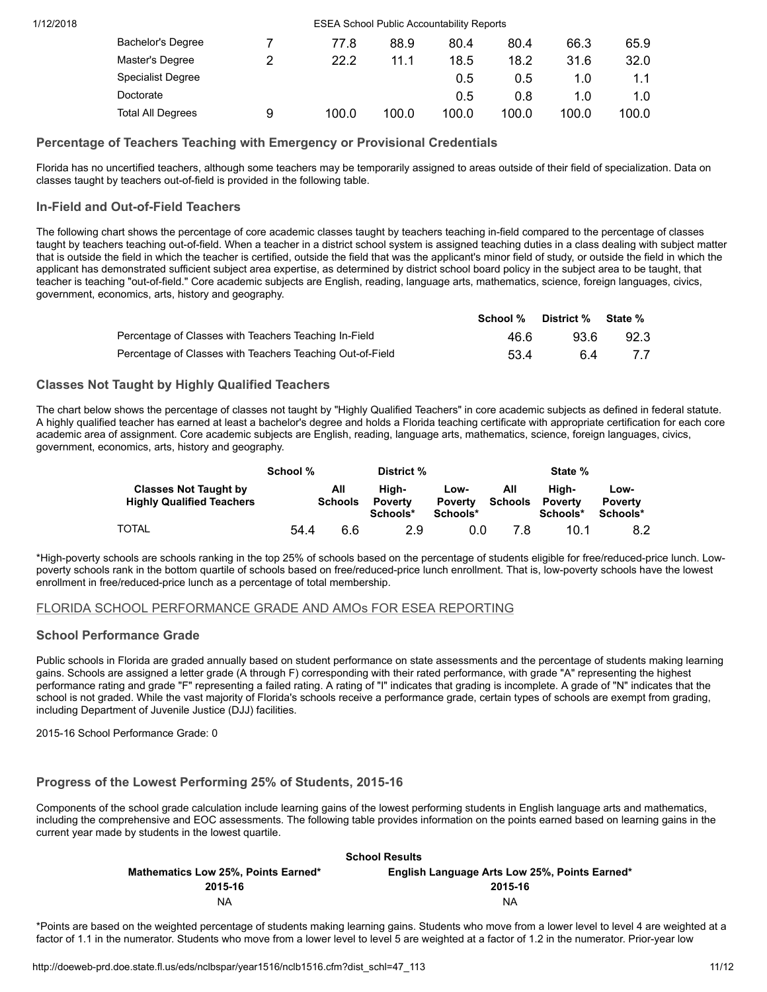| 1/12/2018 |                          |   |       | <b>ESEA School Public Accountability Reports</b> |       |       |       |       |
|-----------|--------------------------|---|-------|--------------------------------------------------|-------|-------|-------|-------|
|           | Bachelor's Degree        |   | 77.8  | 88.9                                             | 80.4  | 80.4  | 66.3  | 65.9  |
|           | Master's Degree          | っ | 22.2  | 11.1                                             | 18.5  | 18.2  | 31.6  | 32.0  |
|           | <b>Specialist Degree</b> |   |       |                                                  | 0.5   | 0.5   | 1.0   |       |
|           | Doctorate                |   |       |                                                  | 0.5   | 0.8   | 1.0   | 1.0   |
|           | <b>Total All Degrees</b> | 9 | 100.0 | 100.0                                            | 100.0 | 100.0 | 100.0 | 100.0 |

# Percentage of Teachers Teaching with Emergency or Provisional Credentials

Florida has no uncertified teachers, although some teachers may be temporarily assigned to areas outside of their field of specialization. Data on classes taught by teachers out-of-field is provided in the following table.

# In-Field and Out-of-Field Teachers

The following chart shows the percentage of core academic classes taught by teachers teaching in-field compared to the percentage of classes taught by teachers teaching out-of-field. When a teacher in a district school system is assigned teaching duties in a class dealing with subject matter that is outside the field in which the teacher is certified, outside the field that was the applicant's minor field of study, or outside the field in which the applicant has demonstrated sufficient subject area expertise, as determined by district school board policy in the subject area to be taught, that teacher is teaching "out-of-field." Core academic subjects are English, reading, language arts, mathematics, science, foreign languages, civics, government, economics, arts, history and geography.

|                                                           |      | School % District % State % |      |
|-----------------------------------------------------------|------|-----------------------------|------|
| Percentage of Classes with Teachers Teaching In-Field     | 46.6 | 93.6                        | 92.3 |
| Percentage of Classes with Teachers Teaching Out-of-Field | 53.4 | 64                          | 7.7  |

# Classes Not Taught by Highly Qualified Teachers

The chart below shows the percentage of classes not taught by "Highly Qualified Teachers" in core academic subjects as defined in federal statute. A highly qualified teacher has earned at least a bachelor's degree and holds a Florida teaching certificate with appropriate certification for each core academic area of assignment. Core academic subjects are English, reading, language arts, mathematics, science, foreign languages, civics, government, economics, arts, history and geography.

|                                                                  | School % |                       | District %                          |                                    |                       | State %                      |                                    |
|------------------------------------------------------------------|----------|-----------------------|-------------------------------------|------------------------------------|-----------------------|------------------------------|------------------------------------|
| <b>Classes Not Taught by</b><br><b>Highly Qualified Teachers</b> |          | All<br><b>Schools</b> | Hiah-<br><b>Poverty</b><br>Schools* | Low-<br><b>Poverty</b><br>Schools* | All<br><b>Schools</b> | Hiah-<br>Poverty<br>Schools* | Low-<br><b>Poverty</b><br>Schools* |
| <b>TOTAL</b>                                                     | 54.4     | 6.6                   | 2.9                                 | 0.0                                | 7.8                   | 10.1                         | 8.2                                |

\*High-poverty schools are schools ranking in the top 25% of schools based on the percentage of students eligible for free/reduced-price lunch. Lowpoverty schools rank in the bottom quartile of schools based on free/reduced-price lunch enrollment. That is, low-poverty schools have the lowest enrollment in free/reduced-price lunch as a percentage of total membership.

# <span id="page-10-0"></span>FLORIDA SCHOOL PERFORMANCE GRADE AND AMOs FOR ESEA REPORTING

# School Performance Grade

Public schools in Florida are graded annually based on student performance on state assessments and the percentage of students making learning gains. Schools are assigned a letter grade (A through F) corresponding with their rated performance, with grade "A" representing the highest performance rating and grade "F" representing a failed rating. A rating of "I" indicates that grading is incomplete. A grade of "N" indicates that the school is not graded. While the vast majority of Florida's schools receive a performance grade, certain types of schools are exempt from grading, including Department of Juvenile Justice (DJJ) facilities.

2015-16 School Performance Grade: 0

# Progress of the Lowest Performing 25% of Students, 2015-16

Components of the school grade calculation include learning gains of the lowest performing students in English language arts and mathematics, including the comprehensive and EOC assessments. The following table provides information on the points earned based on learning gains in the current year made by students in the lowest quartile.

| <b>School Results</b>               |                                               |  |  |  |  |
|-------------------------------------|-----------------------------------------------|--|--|--|--|
| Mathematics Low 25%, Points Earned* | English Language Arts Low 25%, Points Earned* |  |  |  |  |
| 2015-16                             | 2015-16                                       |  |  |  |  |
| ΝA                                  | <b>NA</b>                                     |  |  |  |  |
|                                     |                                               |  |  |  |  |

\*Points are based on the weighted percentage of students making learning gains. Students who move from a lower level to level 4 are weighted at a factor of 1.1 in the numerator. Students who move from a lower level to level 5 are weighted at a factor of 1.2 in the numerator. Prior-year low